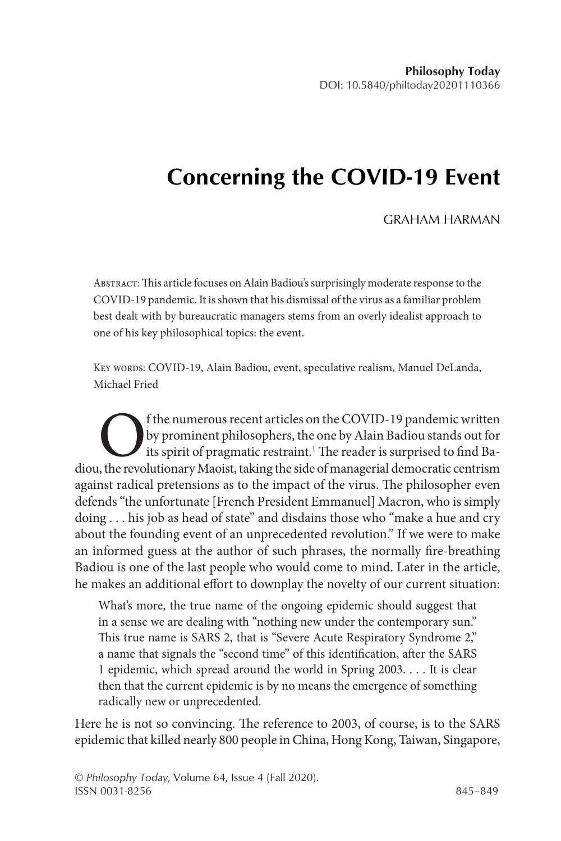## **Concerning the COVID-19 Event**

## GRAHAM HARMAN

Abstract: This article focuses on Alain Badiou's surprisingly moderate response to the COVID-19 pandemic. It is shown that his dismissal of the virus as a familiar problem best dealt with by bureaucratic managers stems from an overly idealist approach to one of his key philosophical topics: the event.

KEY WORDS: COVID-19, Alain Badiou, event, speculative realism, Manuel DeLanda, Michael Fried

The numerous recent articles on the COVID-19 pandemic written<br>by prominent philosophers, the one by Alain Badiou stands out for<br>its spirit of pragmatic restraint.<sup>1</sup> The reader is surprised to find Ba-<br>the revolutionary Ma by prominent philosophers, the one by Alain Badiou stands out for its spirit of pragmatic restraint.<sup>1</sup> The reader is surprised to find Badiou, the revolutionary Maoist, taking the side of managerial democratic centrism against radical pretensions as to the impact of the virus. The philosopher even defends "the unfortunate [French President Emmanuel] Macron, who is simply doing . . . his job as head of state" and disdains those who "make a hue and cry about the founding event of an unprecedented revolution." If we were to make an informed guess at the author of such phrases, the normally fire-breathing Badiou is one of the last people who would come to mind. Later in the article, he makes an additional effort to downplay the novelty of our current situation:

What's more, the true name of the ongoing epidemic should suggest that in a sense we are dealing with "nothing new under the contemporary sun." This true name is SARS 2, that is "Severe Acute Respiratory Syndrome 2," a name that signals the "second time" of this identification, after the SARS 1 epidemic, which spread around the world in Spring 2003. . . . It is clear then that the current epidemic is by no means the emergence of something radically new or unprecedented.

Here he is not so convincing. The reference to 2003, of course, is to the SARS epidemic that killed nearly 800 people in China, Hong Kong, Taiwan, Singapore,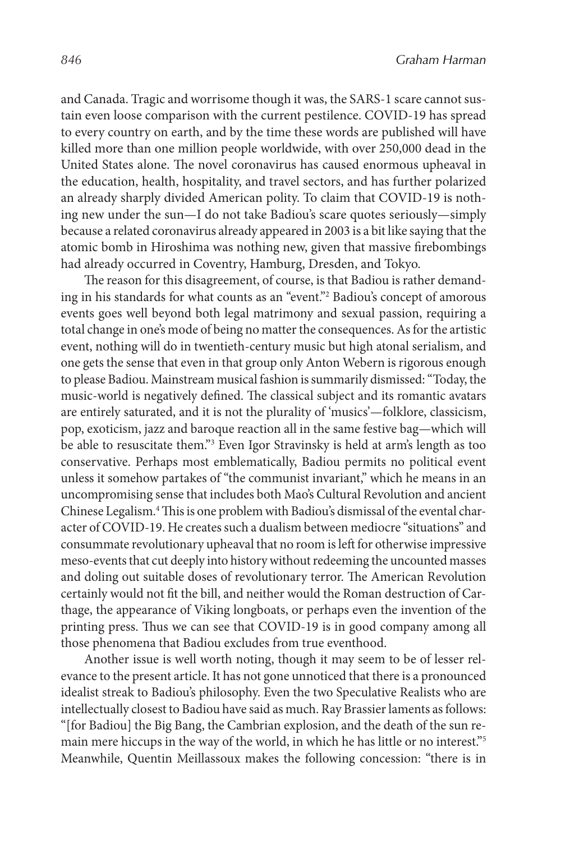and Canada. Tragic and worrisome though it was, the SARS-1 scare cannot sustain even loose comparison with the current pestilence. COVID-19 has spread to every country on earth, and by the time these words are published will have killed more than one million people worldwide, with over 250,000 dead in the United States alone. The novel coronavirus has caused enormous upheaval in the education, health, hospitality, and travel sectors, and has further polarized an already sharply divided American polity. To claim that COVID-19 is nothing new under the sun—I do not take Badiou's scare quotes seriously—simply because a related coronavirus already appeared in 2003 is a bit like saying that the atomic bomb in Hiroshima was nothing new, given that massive firebombings had already occurred in Coventry, Hamburg, Dresden, and Tokyo.

The reason for this disagreement, of course, is that Badiou is rather demanding in his standards for what counts as an "event."2 Badiou's concept of amorous events goes well beyond both legal matrimony and sexual passion, requiring a total change in one's mode of being no matter the consequences. As for the artistic event, nothing will do in twentieth-century music but high atonal serialism, and one gets the sense that even in that group only Anton Webern is rigorous enough to please Badiou. Mainstream musical fashion is summarily dismissed: "Today, the music-world is negatively defined. The classical subject and its romantic avatars are entirely saturated, and it is not the plurality of 'musics'—folklore, classicism, pop, exoticism, jazz and baroque reaction all in the same festive bag—which will be able to resuscitate them."3 Even Igor Stravinsky is held at arm's length as too conservative. Perhaps most emblematically, Badiou permits no political event unless it somehow partakes of "the communist invariant," which he means in an uncompromising sense that includes both Mao's Cultural Revolution and ancient Chinese Legalism.4 This is one problem with Badiou's dismissal of the evental character of COVID-19. He creates such a dualism between mediocre "situations" and consummate revolutionary upheaval that no room is left for otherwise impressive meso-events that cut deeply into history without redeeming the uncounted masses and doling out suitable doses of revolutionary terror. The American Revolution certainly would not fit the bill, and neither would the Roman destruction of Carthage, the appearance of Viking longboats, or perhaps even the invention of the printing press. Thus we can see that COVID-19 is in good company among all those phenomena that Badiou excludes from true eventhood.

Another issue is well worth noting, though it may seem to be of lesser relevance to the present article. It has not gone unnoticed that there is a pronounced idealist streak to Badiou's philosophy. Even the two Speculative Realists who are intellectually closest to Badiou have said as much. Ray Brassier laments as follows: "[for Badiou] the Big Bang, the Cambrian explosion, and the death of the sun remain mere hiccups in the way of the world, in which he has little or no interest."5 Meanwhile, Quentin Meillassoux makes the following concession: "there is in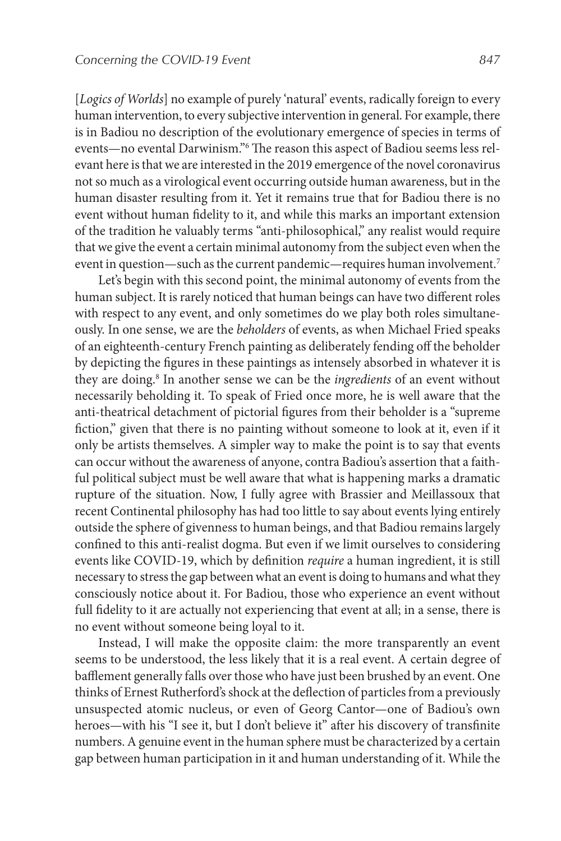[*Logics of Worlds*] no example of purely 'natural' events, radically foreign to every human intervention, to every subjective intervention in general. For example, there is in Badiou no description of the evolutionary emergence of species in terms of events—no evental Darwinism."<sup>6</sup> The reason this aspect of Badiou seems less relevant here is that we are interested in the 2019 emergence of the novel coronavirus not so much as a virological event occurring outside human awareness, but in the human disaster resulting from it. Yet it remains true that for Badiou there is no event without human fidelity to it, and while this marks an important extension of the tradition he valuably terms "anti-philosophical," any realist would require that we give the event a certain minimal autonomy from the subject even when the event in question—such as the current pandemic—requires human involvement.<sup>7</sup>

Let's begin with this second point, the minimal autonomy of events from the human subject. It is rarely noticed that human beings can have two different roles with respect to any event, and only sometimes do we play both roles simultaneously. In one sense, we are the *beholders* of events, as when Michael Fried speaks of an eighteenth-century French painting as deliberately fending off the beholder by depicting the figures in these paintings as intensely absorbed in whatever it is they are doing.<sup>8</sup> In another sense we can be the *ingredients* of an event without necessarily beholding it. To speak of Fried once more, he is well aware that the anti-theatrical detachment of pictorial figures from their beholder is a "supreme fiction," given that there is no painting without someone to look at it, even if it only be artists themselves. A simpler way to make the point is to say that events can occur without the awareness of anyone, contra Badiou's assertion that a faithful political subject must be well aware that what is happening marks a dramatic rupture of the situation. Now, I fully agree with Brassier and Meillassoux that recent Continental philosophy has had too little to say about events lying entirely outside the sphere of givenness to human beings, and that Badiou remains largely confined to this anti-realist dogma. But even if we limit ourselves to considering events like COVID-19, which by definition *require* a human ingredient, it is still necessary to stress the gap between what an event is doing to humans and what they consciously notice about it. For Badiou, those who experience an event without full fidelity to it are actually not experiencing that event at all; in a sense, there is no event without someone being loyal to it.

Instead, I will make the opposite claim: the more transparently an event seems to be understood, the less likely that it is a real event. A certain degree of bafflement generally falls over those who have just been brushed by an event. One thinks of Ernest Rutherford's shock at the deflection of particles from a previously unsuspected atomic nucleus, or even of Georg Cantor—one of Badiou's own heroes—with his "I see it, but I don't believe it" after his discovery of transfinite numbers. A genuine event in the human sphere must be characterized by a certain gap between human participation in it and human understanding of it. While the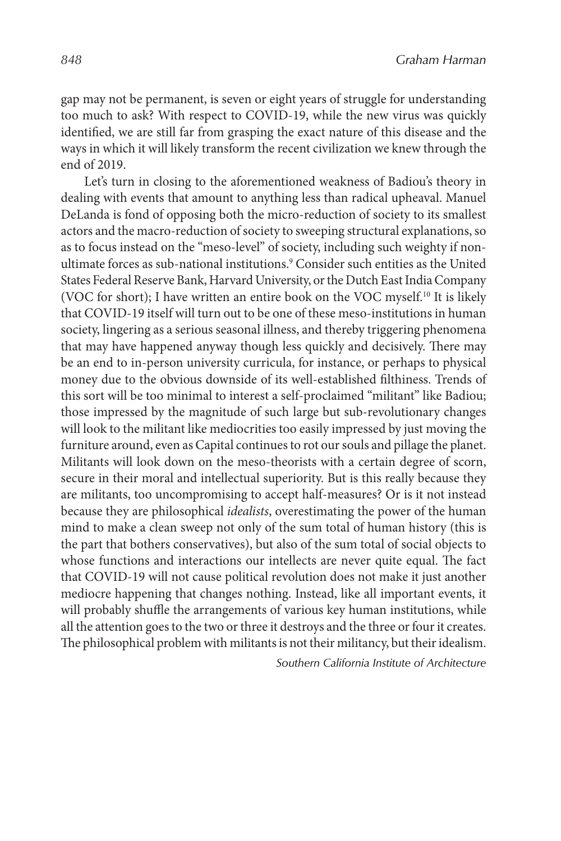gap may not be permanent, is seven or eight years of struggle for understanding too much to ask? With respect to COVID-19, while the new virus was quickly identified, we are still far from grasping the exact nature of this disease and the ways in which it will likely transform the recent civilization we knew through the end of 2019.

Let's turn in closing to the aforementioned weakness of Badiou's theory in dealing with events that amount to anything less than radical upheaval. Manuel DeLanda is fond of opposing both the micro-reduction of society to its smallest actors and the macro-reduction of society to sweeping structural explanations, so as to focus instead on the "meso-level" of society, including such weighty if nonultimate forces as sub-national institutions.<sup>9</sup> Consider such entities as the United States Federal Reserve Bank, Harvard University, or the Dutch East India Company (VOC for short); I have written an entire book on the VOC myself.<sup>10</sup> It is likely that COVID-19 itself will turn out to be one of these meso-institutions in human society, lingering as a serious seasonal illness, and thereby triggering phenomena that may have happened anyway though less quickly and decisively. There may be an end to in-person university curricula, for instance, or perhaps to physical money due to the obvious downside of its well-established filthiness. Trends of this sort will be too minimal to interest a self-proclaimed "militant" like Badiou; those impressed by the magnitude of such large but sub-revolutionary changes will look to the militant like mediocrities too easily impressed by just moving the furniture around, even as Capital continues to rot our souls and pillage the planet. Militants will look down on the meso-theorists with a certain degree of scorn, secure in their moral and intellectual superiority. But is this really because they are militants, too uncompromising to accept half-measures? Or is it not instead because they are philosophical *idealists*, overestimating the power of the human mind to make a clean sweep not only of the sum total of human history (this is the part that bothers conservatives), but also of the sum total of social objects to whose functions and interactions our intellects are never quite equal. The fact that COVID-19 will not cause political revolution does not make it just another mediocre happening that changes nothing. Instead, like all important events, it will probably shuffle the arrangements of various key human institutions, while all the attention goes to the two or three it destroys and the three or four it creates. The philosophical problem with militants is not their militancy, but their idealism.

*Southern California Institute of Architecture*